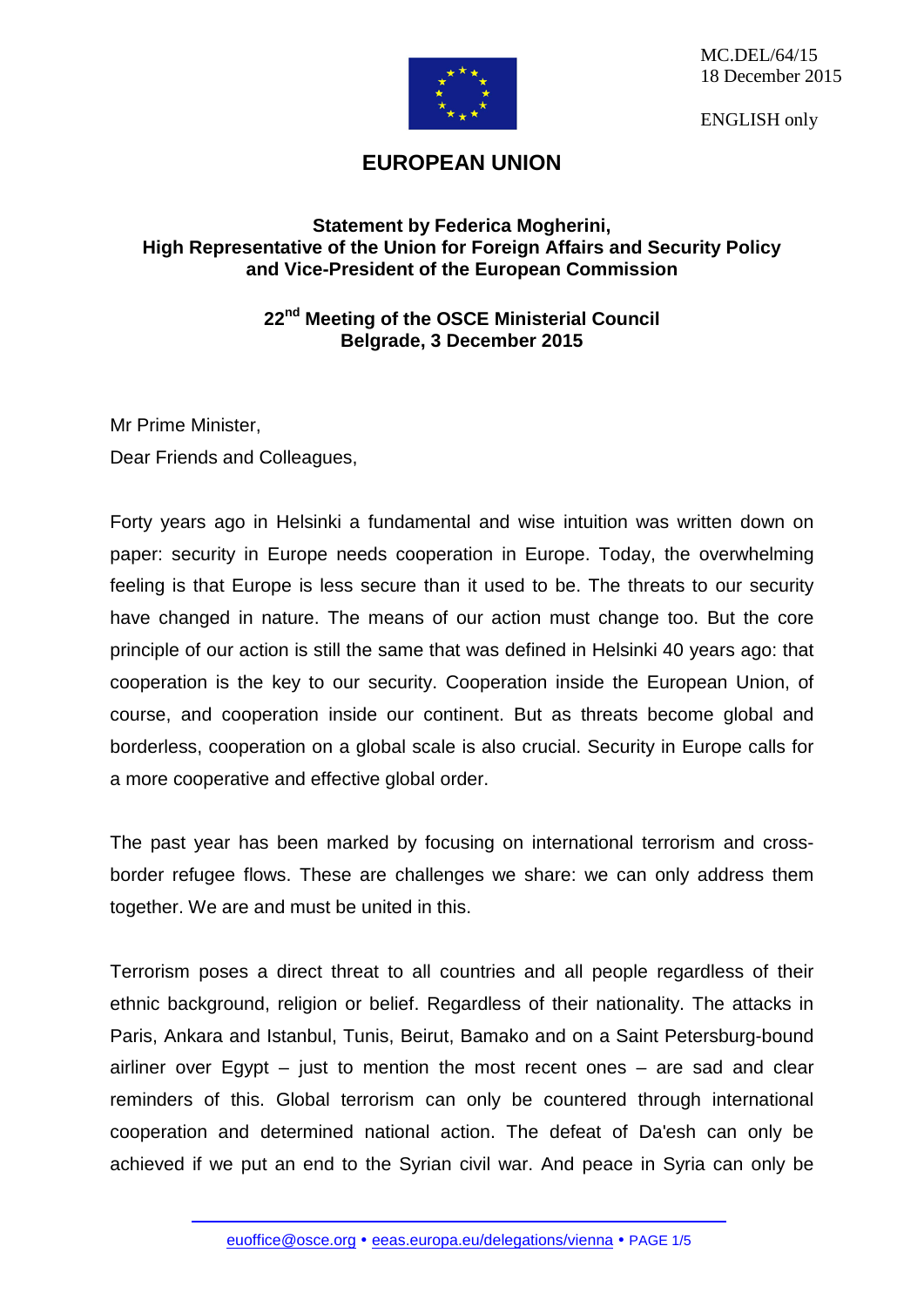

MC.DEL/64/15 18 December 2015

ENGLISH only

## **EUROPEAN UNION**

## **Statement by Federica Mogherini, High Representative of the Union for Foreign Affairs and Security Policy and Vice-President of the European Commission**

## **22nd Meeting of the OSCE Ministerial Council Belgrade, 3 December 2015**

Mr Prime Minister, Dear Friends and Colleagues,

Forty years ago in Helsinki a fundamental and wise intuition was written down on paper: security in Europe needs cooperation in Europe. Today, the overwhelming feeling is that Europe is less secure than it used to be. The threats to our security have changed in nature. The means of our action must change too. But the core principle of our action is still the same that was defined in Helsinki 40 years ago: that cooperation is the key to our security. Cooperation inside the European Union, of course, and cooperation inside our continent. But as threats become global and borderless, cooperation on a global scale is also crucial. Security in Europe calls for a more cooperative and effective global order.

The past year has been marked by focusing on international terrorism and crossborder refugee flows. These are challenges we share: we can only address them together. We are and must be united in this.

Terrorism poses a direct threat to all countries and all people regardless of their ethnic background, religion or belief. Regardless of their nationality. The attacks in Paris, Ankara and Istanbul, Tunis, Beirut, Bamako and on a Saint Petersburg-bound airliner over Egypt  $-$  just to mention the most recent ones  $-$  are sad and clear reminders of this. Global terrorism can only be countered through international cooperation and determined national action. The defeat of Da'esh can only be achieved if we put an end to the Syrian civil war. And peace in Syria can only be

[euoffice@osce.org](mailto:euoffice@osce.org) • [eeas.europa.eu/delegations/vienna](http://eeas.europa.eu/delegations/vienna) • PAGE 1/5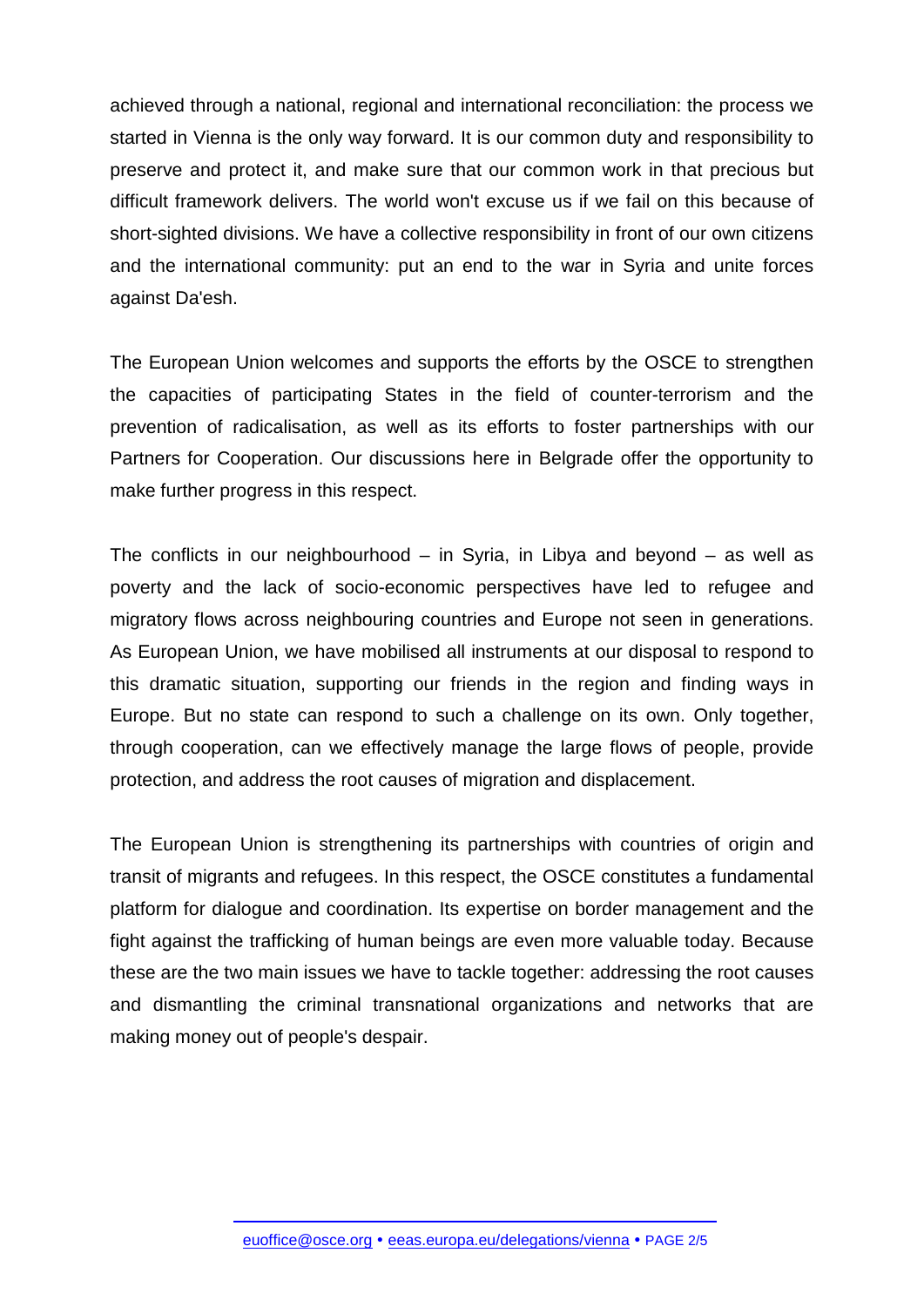achieved through a national, regional and international reconciliation: the process we started in Vienna is the only way forward. It is our common duty and responsibility to preserve and protect it, and make sure that our common work in that precious but difficult framework delivers. The world won't excuse us if we fail on this because of short-sighted divisions. We have a collective responsibility in front of our own citizens and the international community: put an end to the war in Syria and unite forces against Da'esh.

The European Union welcomes and supports the efforts by the OSCE to strengthen the capacities of participating States in the field of counter-terrorism and the prevention of radicalisation, as well as its efforts to foster partnerships with our Partners for Cooperation. Our discussions here in Belgrade offer the opportunity to make further progress in this respect.

The conflicts in our neighbourhood – in Syria, in Libya and beyond – as well as poverty and the lack of socio-economic perspectives have led to refugee and migratory flows across neighbouring countries and Europe not seen in generations. As European Union, we have mobilised all instruments at our disposal to respond to this dramatic situation, supporting our friends in the region and finding ways in Europe. But no state can respond to such a challenge on its own. Only together, through cooperation, can we effectively manage the large flows of people, provide protection, and address the root causes of migration and displacement.

The European Union is strengthening its partnerships with countries of origin and transit of migrants and refugees. In this respect, the OSCE constitutes a fundamental platform for dialogue and coordination. Its expertise on border management and the fight against the trafficking of human beings are even more valuable today. Because these are the two main issues we have to tackle together: addressing the root causes and dismantling the criminal transnational organizations and networks that are making money out of people's despair.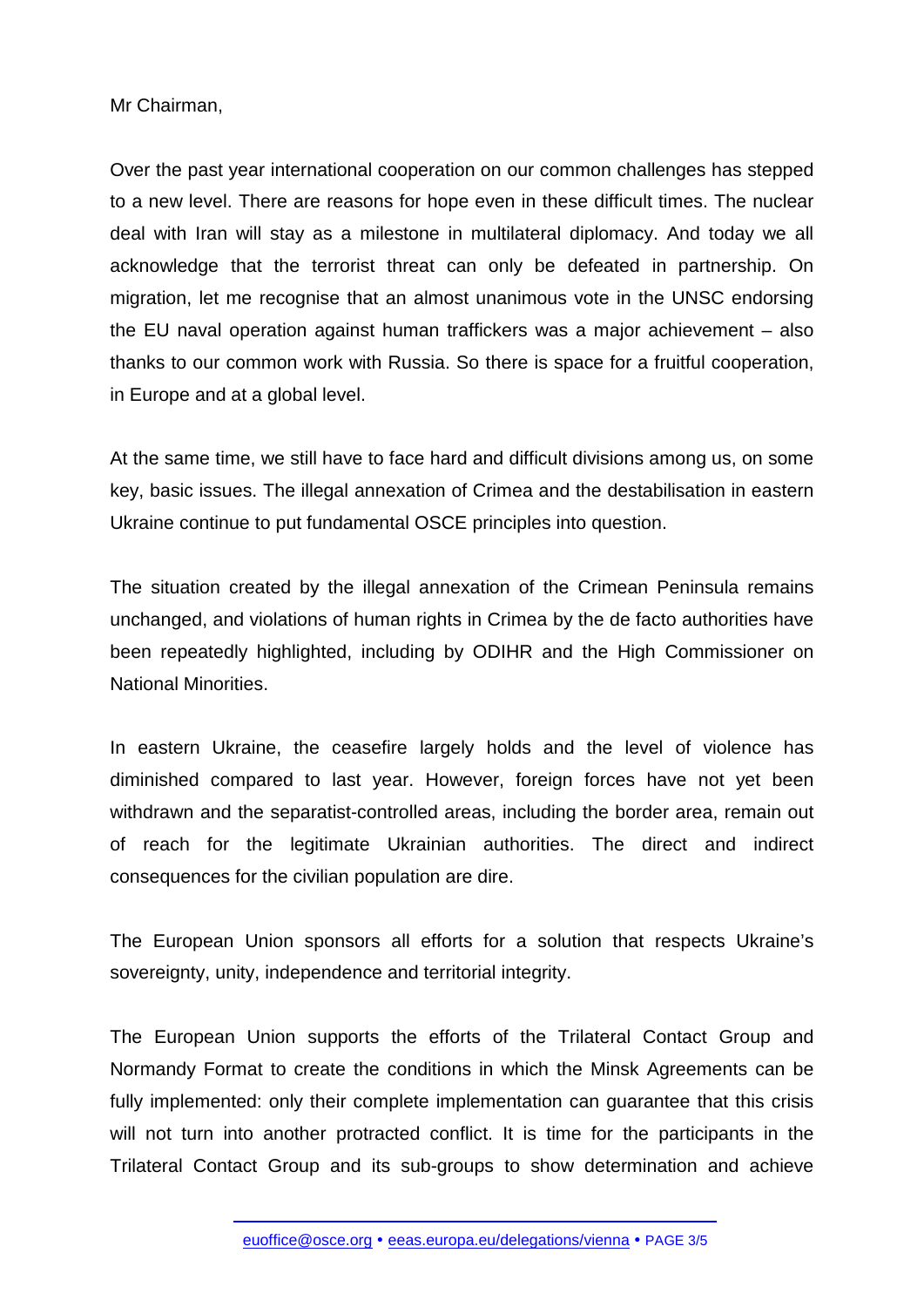## Mr Chairman,

Over the past year international cooperation on our common challenges has stepped to a new level. There are reasons for hope even in these difficult times. The nuclear deal with Iran will stay as a milestone in multilateral diplomacy. And today we all acknowledge that the terrorist threat can only be defeated in partnership. On migration, let me recognise that an almost unanimous vote in the UNSC endorsing the EU naval operation against human traffickers was a major achievement – also thanks to our common work with Russia. So there is space for a fruitful cooperation, in Europe and at a global level.

At the same time, we still have to face hard and difficult divisions among us, on some key, basic issues. The illegal annexation of Crimea and the destabilisation in eastern Ukraine continue to put fundamental OSCE principles into question.

The situation created by the illegal annexation of the Crimean Peninsula remains unchanged, and violations of human rights in Crimea by the de facto authorities have been repeatedly highlighted, including by ODIHR and the High Commissioner on National Minorities.

In eastern Ukraine, the ceasefire largely holds and the level of violence has diminished compared to last year. However, foreign forces have not yet been withdrawn and the separatist-controlled areas, including the border area, remain out of reach for the legitimate Ukrainian authorities. The direct and indirect consequences for the civilian population are dire.

The European Union sponsors all efforts for a solution that respects Ukraine's sovereignty, unity, independence and territorial integrity.

The European Union supports the efforts of the Trilateral Contact Group and Normandy Format to create the conditions in which the Minsk Agreements can be fully implemented: only their complete implementation can guarantee that this crisis will not turn into another protracted conflict. It is time for the participants in the Trilateral Contact Group and its sub-groups to show determination and achieve

[euoffice@osce.org](mailto:euoffice@osce.org) • [eeas.europa.eu/delegations/vienna](http://eeas.europa.eu/delegations/vienna) • PAGE 3/5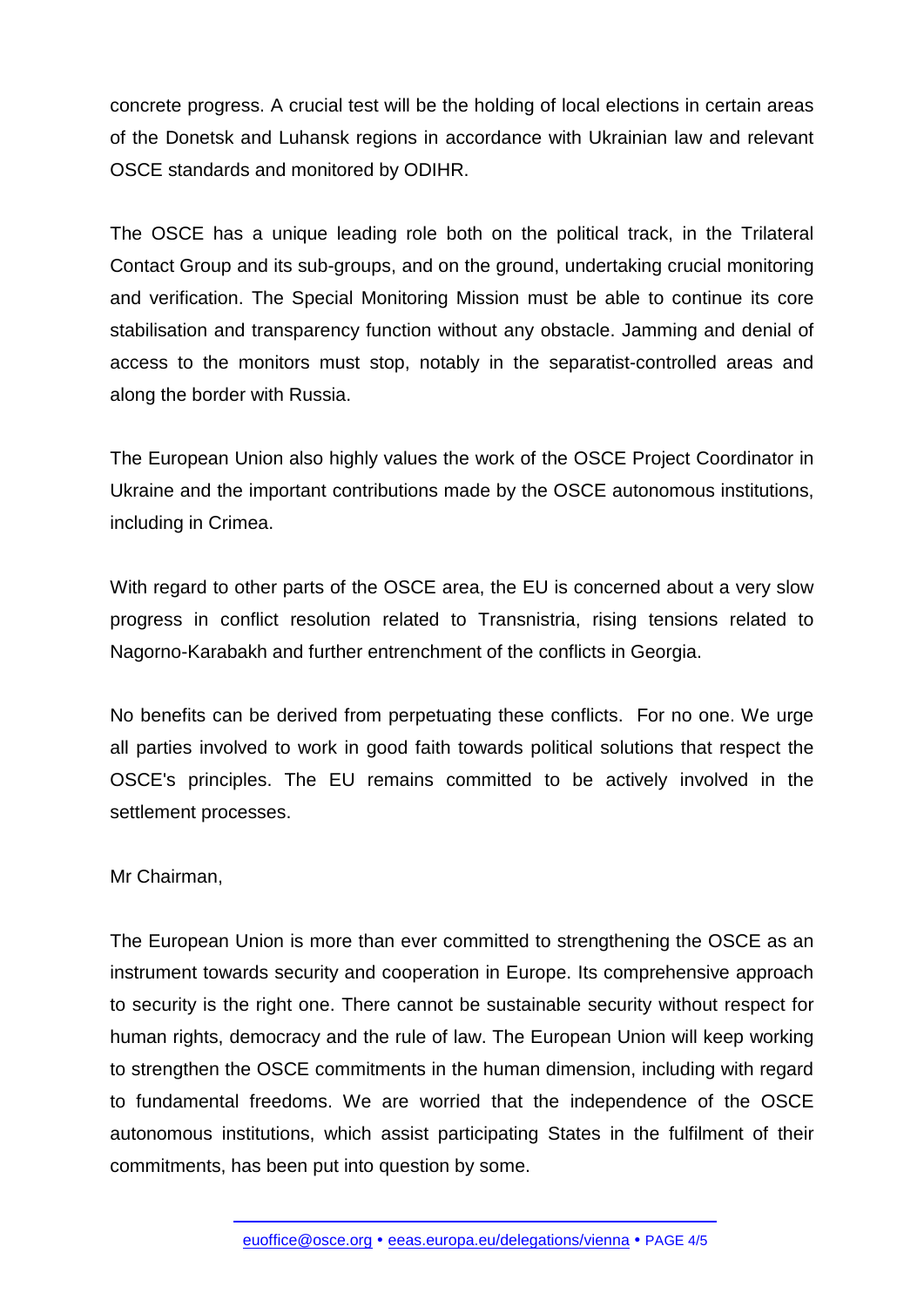concrete progress. A crucial test will be the holding of local elections in certain areas of the Donetsk and Luhansk regions in accordance with Ukrainian law and relevant OSCE standards and monitored by ODIHR.

The OSCE has a unique leading role both on the political track, in the Trilateral Contact Group and its sub-groups, and on the ground, undertaking crucial monitoring and verification. The Special Monitoring Mission must be able to continue its core stabilisation and transparency function without any obstacle. Jamming and denial of access to the monitors must stop, notably in the separatist-controlled areas and along the border with Russia.

The European Union also highly values the work of the OSCE Project Coordinator in Ukraine and the important contributions made by the OSCE autonomous institutions, including in Crimea.

With regard to other parts of the OSCE area, the EU is concerned about a very slow progress in conflict resolution related to Transnistria, rising tensions related to Nagorno-Karabakh and further entrenchment of the conflicts in Georgia.

No benefits can be derived from perpetuating these conflicts. For no one. We urge all parties involved to work in good faith towards political solutions that respect the OSCE's principles. The EU remains committed to be actively involved in the settlement processes.

Mr Chairman,

The European Union is more than ever committed to strengthening the OSCE as an instrument towards security and cooperation in Europe. Its comprehensive approach to security is the right one. There cannot be sustainable security without respect for human rights, democracy and the rule of law. The European Union will keep working to strengthen the OSCE commitments in the human dimension, including with regard to fundamental freedoms. We are worried that the independence of the OSCE autonomous institutions, which assist participating States in the fulfilment of their commitments, has been put into question by some.